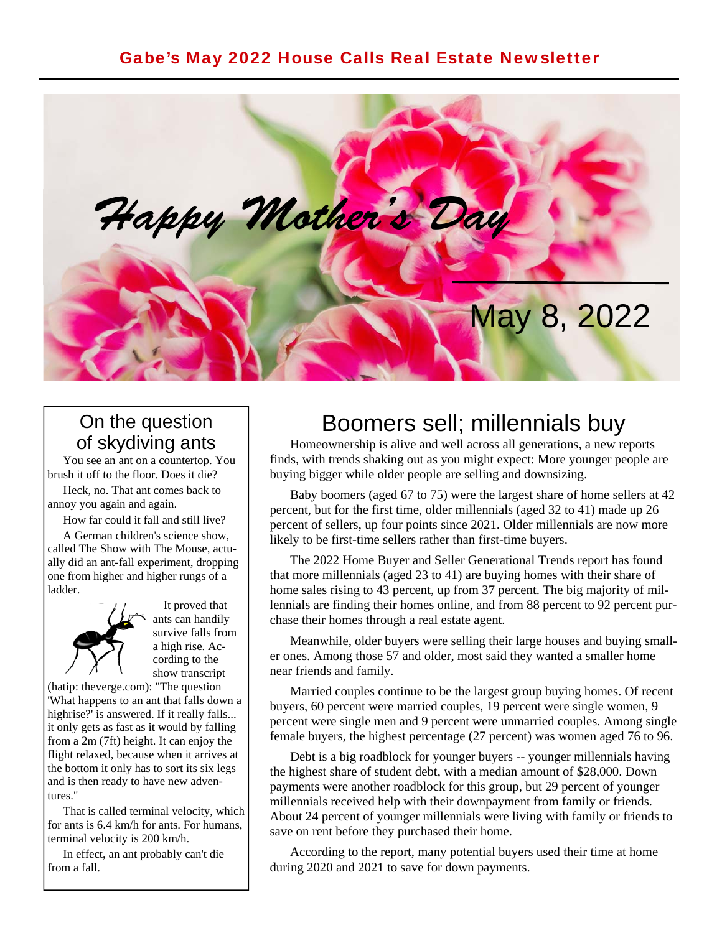#### Gabe's May 2022 House Calls Real Estate Newsletter



#### On the question of skydiving ants

 You see an ant on a countertop. You brush it off to the floor. Does it die?

 Heck, no. That ant comes back to annoy you again and again.

How far could it fall and still live?

 A German children's science show, called The Show with The Mouse, actually did an ant-fall experiment, dropping one from higher and higher rungs of a ladder.



 It proved that ants can handily survive falls from a high rise. According to the show transcript

(hatip: theverge.com): "The question 'What happens to an ant that falls down a highrise?' is answered. If it really falls... it only gets as fast as it would by falling from a 2m (7ft) height. It can enjoy the flight relaxed, because when it arrives at the bottom it only has to sort its six legs and is then ready to have new adventures."

 That is called terminal velocity, which for ants is 6.4 km/h for ants. For humans, terminal velocity is 200 km/h.

 In effect, an ant probably can't die from a fall.

## Boomers sell; millennials buy

 Homeownership is alive and well across all generations, a new reports finds, with trends shaking out as you might expect: More younger people are buying bigger while older people are selling and downsizing.

 Baby boomers (aged 67 to 75) were the largest share of home sellers at 42 percent, but for the first time, older millennials (aged 32 to 41) made up 26 percent of sellers, up four points since 2021. Older millennials are now more likely to be first-time sellers rather than first-time buyers.

 The 2022 Home Buyer and Seller Generational Trends report has found that more millennials (aged 23 to 41) are buying homes with their share of home sales rising to 43 percent, up from 37 percent. The big majority of millennials are finding their homes online, and from 88 percent to 92 percent purchase their homes through a real estate agent.

 Meanwhile, older buyers were selling their large houses and buying smaller ones. Among those 57 and older, most said they wanted a smaller home near friends and family.

 Married couples continue to be the largest group buying homes. Of recent buyers, 60 percent were married couples, 19 percent were single women, 9 percent were single men and 9 percent were unmarried couples. Among single female buyers, the highest percentage (27 percent) was women aged 76 to 96.

 Debt is a big roadblock for younger buyers -- younger millennials having the highest share of student debt, with a median amount of \$28,000. Down payments were another roadblock for this group, but 29 percent of younger millennials received help with their downpayment from family or friends. About 24 percent of younger millennials were living with family or friends to save on rent before they purchased their home.

 According to the report, many potential buyers used their time at home during 2020 and 2021 to save for down payments.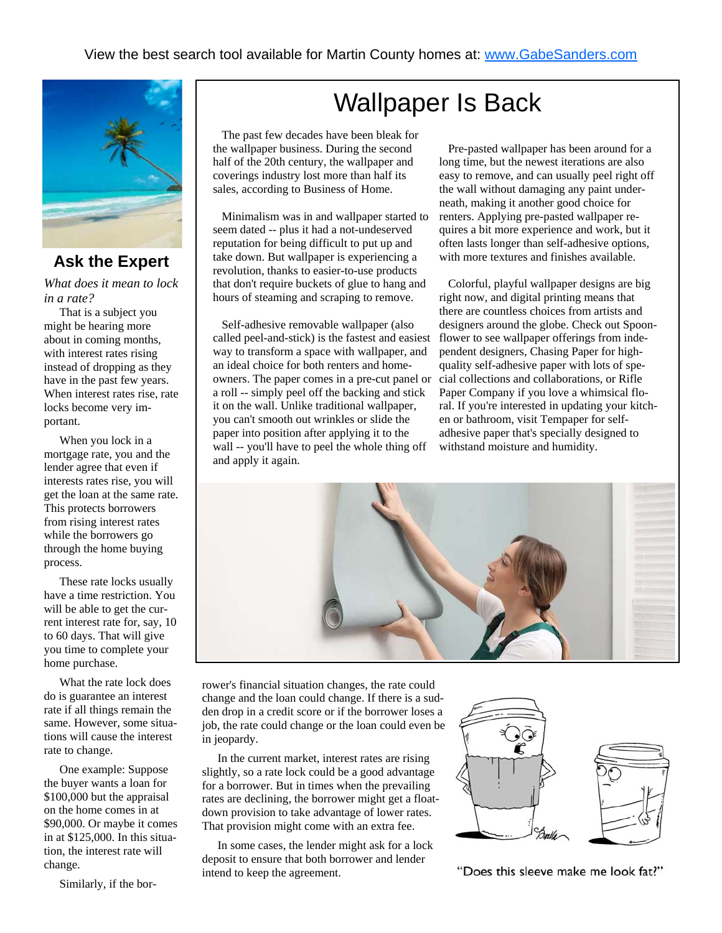

#### **Ask the Expert**

*What does it mean to lock in a rate?* 

 That is a subject you might be hearing more about in coming months, with interest rates rising instead of dropping as they have in the past few years. When interest rates rise, rate locks become very important.

 When you lock in a mortgage rate, you and the lender agree that even if interests rates rise, you will get the loan at the same rate. This protects borrowers from rising interest rates while the borrowers go through the home buying process.

 These rate locks usually have a time restriction. You will be able to get the current interest rate for, say, 10 to 60 days. That will give you time to complete your home purchase.

 What the rate lock does do is guarantee an interest rate if all things remain the same. However, some situations will cause the interest rate to change.

 One example: Suppose the buyer wants a loan for \$100,000 but the appraisal on the home comes in at \$90,000. Or maybe it comes in at \$125,000. In this situation, the interest rate will change.

Similarly, if the bor-

# Wallpaper Is Back

 The past few decades have been bleak for the wallpaper business. During the second half of the 20th century, the wallpaper and coverings industry lost more than half its sales, according to Business of Home.

 Minimalism was in and wallpaper started to seem dated -- plus it had a not-undeserved reputation for being difficult to put up and take down. But wallpaper is experiencing a revolution, thanks to easier-to-use products that don't require buckets of glue to hang and hours of steaming and scraping to remove.

 Self-adhesive removable wallpaper (also called peel-and-stick) is the fastest and easiest way to transform a space with wallpaper, and an ideal choice for both renters and homeowners. The paper comes in a pre-cut panel or a roll -- simply peel off the backing and stick it on the wall. Unlike traditional wallpaper, you can't smooth out wrinkles or slide the paper into position after applying it to the wall -- you'll have to peel the whole thing off and apply it again.

 Pre-pasted wallpaper has been around for a long time, but the newest iterations are also easy to remove, and can usually peel right off the wall without damaging any paint underneath, making it another good choice for renters. Applying pre-pasted wallpaper requires a bit more experience and work, but it often lasts longer than self-adhesive options, with more textures and finishes available.

 Colorful, playful wallpaper designs are big right now, and digital printing means that there are countless choices from artists and designers around the globe. Check out Spoonflower to see wallpaper offerings from independent designers, Chasing Paper for highquality self-adhesive paper with lots of special collections and collaborations, or Rifle Paper Company if you love a whimsical floral. If you're interested in updating your kitchen or bathroom, visit Tempaper for selfadhesive paper that's specially designed to withstand moisture and humidity.



rower's financial situation changes, the rate could change and the loan could change. If there is a sudden drop in a credit score or if the borrower loses a job, the rate could change or the loan could even be in jeopardy.

 In the current market, interest rates are rising slightly, so a rate lock could be a good advantage for a borrower. But in times when the prevailing rates are declining, the borrower might get a floatdown provision to take advantage of lower rates. That provision might come with an extra fee.

 In some cases, the lender might ask for a lock deposit to ensure that both borrower and lender intend to keep the agreement.



"Does this sleeve make me look fat?"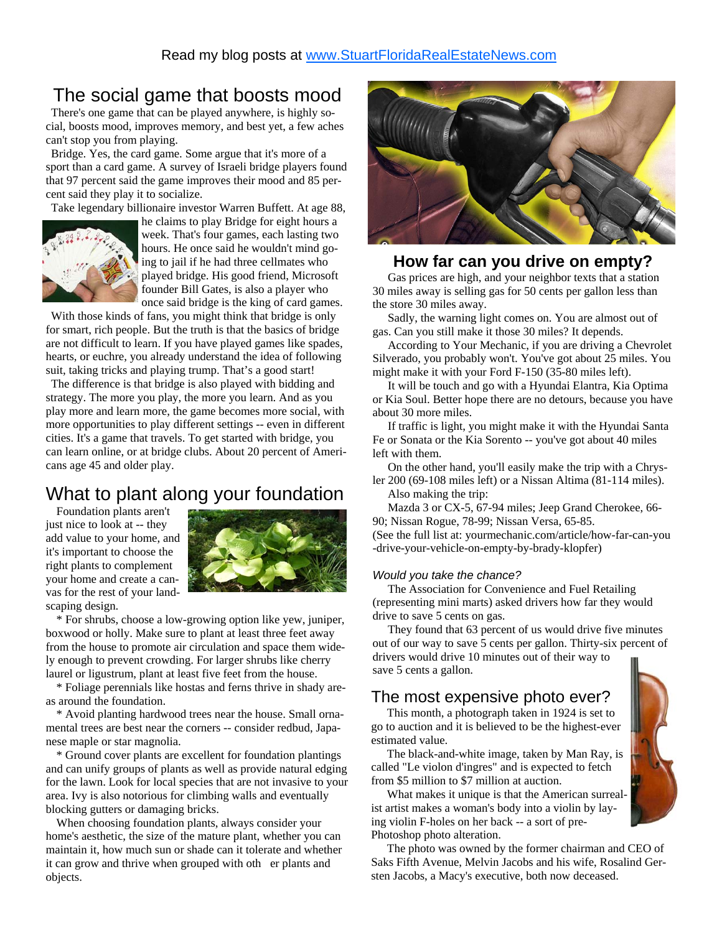## The social game that boosts mood

 There's one game that can be played anywhere, is highly social, boosts mood, improves memory, and best yet, a few aches can't stop you from playing.

 Bridge. Yes, the card game. Some argue that it's more of a sport than a card game. A survey of Israeli bridge players found that 97 percent said the game improves their mood and 85 percent said they play it to socialize.

Take legendary billionaire investor Warren Buffett. At age 88,



he claims to play Bridge for eight hours a week. That's four games, each lasting two hours. He once said he wouldn't mind going to jail if he had three cellmates who played bridge. His good friend, Microsoft founder Bill Gates, is also a player who once said bridge is the king of card games.

 With those kinds of fans, you might think that bridge is only for smart, rich people. But the truth is that the basics of bridge are not difficult to learn. If you have played games like spades, hearts, or euchre, you already understand the idea of following suit, taking tricks and playing trump. That's a good start!

 The difference is that bridge is also played with bidding and strategy. The more you play, the more you learn. And as you play more and learn more, the game becomes more social, with more opportunities to play different settings -- even in different cities. It's a game that travels. To get started with bridge, you can learn online, or at bridge clubs. About 20 percent of Americans age 45 and older play.

### What to plant along your foundation

 Foundation plants aren't just nice to look at -- they add value to your home, and it's important to choose the right plants to complement your home and create a canvas for the rest of your landscaping design.



 \* For shrubs, choose a low-growing option like yew, juniper, boxwood or holly. Make sure to plant at least three feet away from the house to promote air circulation and space them widely enough to prevent crowding. For larger shrubs like cherry laurel or ligustrum, plant at least five feet from the house.

 \* Foliage perennials like hostas and ferns thrive in shady areas around the foundation.

 \* Avoid planting hardwood trees near the house. Small ornamental trees are best near the corners -- consider redbud, Japanese maple or star magnolia.

 \* Ground cover plants are excellent for foundation plantings and can unify groups of plants as well as provide natural edging for the lawn. Look for local species that are not invasive to your area. Ivy is also notorious for climbing walls and eventually blocking gutters or damaging bricks.

 When choosing foundation plants, always consider your home's aesthetic, the size of the mature plant, whether you can maintain it, how much sun or shade can it tolerate and whether it can grow and thrive when grouped with oth er plants and objects.



#### **How far can you drive on empty?**

 Gas prices are high, and your neighbor texts that a station 30 miles away is selling gas for 50 cents per gallon less than the store 30 miles away.

 Sadly, the warning light comes on. You are almost out of gas. Can you still make it those 30 miles? It depends.

 According to Your Mechanic, if you are driving a Chevrolet Silverado, you probably won't. You've got about 25 miles. You might make it with your Ford F-150 (35-80 miles left).

 It will be touch and go with a Hyundai Elantra, Kia Optima or Kia Soul. Better hope there are no detours, because you have about 30 more miles.

 If traffic is light, you might make it with the Hyundai Santa Fe or Sonata or the Kia Sorento -- you've got about 40 miles left with them.

 On the other hand, you'll easily make the trip with a Chrysler 200 (69-108 miles left) or a Nissan Altima (81-114 miles).

Also making the trip:

 Mazda 3 or CX-5, 67-94 miles; Jeep Grand Cherokee, 66- 90; Nissan Rogue, 78-99; Nissan Versa, 65-85. (See the full list at: yourmechanic.com/article/how-far-can-you

-drive-your-vehicle-on-empty-by-brady-klopfer)

#### *Would you take the chance?*

 The Association for Convenience and Fuel Retailing (representing mini marts) asked drivers how far they would drive to save 5 cents on gas.

 They found that 63 percent of us would drive five minutes out of our way to save 5 cents per gallon. Thirty-six percent of drivers would drive 10 minutes out of their way to save 5 cents a gallon.

#### The most expensive photo ever?

 This month, a photograph taken in 1924 is set to go to auction and it is believed to be the highest-ever estimated value.

 The black-and-white image, taken by Man Ray, is called "Le violon d'ingres" and is expected to fetch from \$5 million to \$7 million at auction.

 What makes it unique is that the American surrealist artist makes a woman's body into a violin by laying violin F-holes on her back -- a sort of pre-Photoshop photo alteration.

 The photo was owned by the former chairman and CEO of Saks Fifth Avenue, Melvin Jacobs and his wife, Rosalind Gersten Jacobs, a Macy's executive, both now deceased.